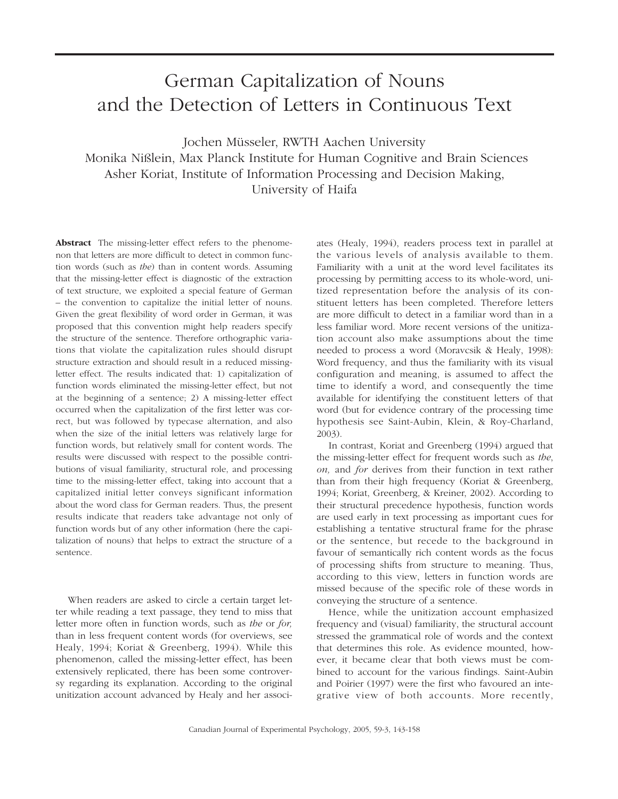# German Capitalization of Nouns and the Detection of Letters in Continuous Text

Jochen Müsseler, RWTH Aachen University Monika Nißlein, Max Planck Institute for Human Cognitive and Brain Sciences Asher Koriat, Institute of Information Processing and Decision Making, University of Haifa

**Abstract** The missing-letter effect refers to the phenomenon that letters are more difficult to detect in common function words (such as *the*) than in content words. Assuming that the missing-letter effect is diagnostic of the extraction of text structure, we exploited a special feature of German – the convention to capitalize the initial letter of nouns. Given the great flexibility of word order in German, it was proposed that this convention might help readers specify the structure of the sentence. Therefore orthographic variations that violate the capitalization rules should disrupt structure extraction and should result in a reduced missingletter effect. The results indicated that: 1) capitalization of function words eliminated the missing-letter effect, but not at the beginning of a sentence; 2) A missing-letter effect occurred when the capitalization of the first letter was correct, but was followed by typecase alternation, and also when the size of the initial letters was relatively large for function words, but relatively small for content words. The results were discussed with respect to the possible contributions of visual familiarity, structural role, and processing time to the missing-letter effect, taking into account that a capitalized initial letter conveys significant information about the word class for German readers. Thus, the present results indicate that readers take advantage not only of function words but of any other information (here the capitalization of nouns) that helps to extract the structure of a sentence.

When readers are asked to circle a certain target letter while reading a text passage, they tend to miss that letter more often in function words, such as *the* or *for,* than in less frequent content words (for overviews, see Healy, 1994; Koriat & Greenberg, 1994). While this phenomenon, called the missing-letter effect, has been extensively replicated, there has been some controversy regarding its explanation. According to the original unitization account advanced by Healy and her associates (Healy, 1994), readers process text in parallel at the various levels of analysis available to them. Familiarity with a unit at the word level facilitates its processing by permitting access to its whole-word, unitized representation before the analysis of its constituent letters has been completed. Therefore letters are more difficult to detect in a familiar word than in a less familiar word. More recent versions of the unitization account also make assumptions about the time needed to process a word (Moravcsik & Healy, 1998): Word frequency, and thus the familiarity with its visual configuration and meaning, is assumed to affect the time to identify a word, and consequently the time available for identifying the constituent letters of that word (but for evidence contrary of the processing time hypothesis see Saint-Aubin, Klein, & Roy-Charland, 2003).

In contrast, Koriat and Greenberg (1994) argued that the missing-letter effect for frequent words such as *the*, *on,* and *for* derives from their function in text rather than from their high frequency (Koriat & Greenberg, 1994; Koriat, Greenberg, & Kreiner, 2002). According to their structural precedence hypothesis, function words are used early in text processing as important cues for establishing a tentative structural frame for the phrase or the sentence, but recede to the background in favour of semantically rich content words as the focus of processing shifts from structure to meaning. Thus, according to this view, letters in function words are missed because of the specific role of these words in conveying the structure of a sentence.

Hence, while the unitization account emphasized frequency and (visual) familiarity, the structural account stressed the grammatical role of words and the context that determines this role. As evidence mounted, however, it became clear that both views must be combined to account for the various findings. Saint-Aubin and Poirier (1997) were the first who favoured an integrative view of both accounts. More recently,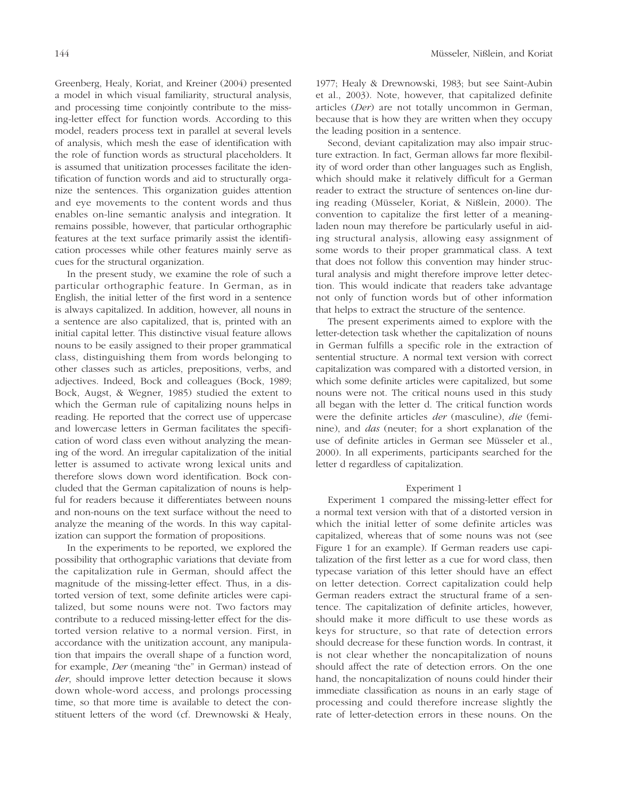Greenberg, Healy, Koriat, and Kreiner (2004) presented a model in which visual familiarity, structural analysis, and processing time conjointly contribute to the missing-letter effect for function words. According to this model, readers process text in parallel at several levels of analysis, which mesh the ease of identification with the role of function words as structural placeholders. It is assumed that unitization processes facilitate the identification of function words and aid to structurally organize the sentences. This organization guides attention and eye movements to the content words and thus enables on-line semantic analysis and integration. It remains possible, however, that particular orthographic features at the text surface primarily assist the identification processes while other features mainly serve as cues for the structural organization.

In the present study, we examine the role of such a particular orthographic feature. In German, as in English, the initial letter of the first word in a sentence is always capitalized. In addition, however, all nouns in a sentence are also capitalized, that is, printed with an initial capital letter. This distinctive visual feature allows nouns to be easily assigned to their proper grammatical class, distinguishing them from words belonging to other classes such as articles, prepositions, verbs, and adjectives. Indeed, Bock and colleagues (Bock, 1989; Bock, Augst, & Wegner, 1985) studied the extent to which the German rule of capitalizing nouns helps in reading. He reported that the correct use of uppercase and lowercase letters in German facilitates the specification of word class even without analyzing the meaning of the word. An irregular capitalization of the initial letter is assumed to activate wrong lexical units and therefore slows down word identification. Bock concluded that the German capitalization of nouns is helpful for readers because it differentiates between nouns and non-nouns on the text surface without the need to analyze the meaning of the words. In this way capitalization can support the formation of propositions.

In the experiments to be reported, we explored the possibility that orthographic variations that deviate from the capitalization rule in German, should affect the magnitude of the missing-letter effect. Thus, in a distorted version of text, some definite articles were capitalized, but some nouns were not. Two factors may contribute to a reduced missing-letter effect for the distorted version relative to a normal version. First, in accordance with the unitization account, any manipulation that impairs the overall shape of a function word, for example, *Der* (meaning "the" in German) instead of *der*, should improve letter detection because it slows down whole-word access, and prolongs processing time, so that more time is available to detect the constituent letters of the word (cf. Drewnowski & Healy, 1977; Healy & Drewnowski, 1983; but see Saint-Aubin et al., 2003). Note, however, that capitalized definite articles (*Der*) are not totally uncommon in German, because that is how they are written when they occupy the leading position in a sentence.

Second, deviant capitalization may also impair structure extraction. In fact, German allows far more flexibility of word order than other languages such as English, which should make it relatively difficult for a German reader to extract the structure of sentences on-line during reading (Müsseler, Koriat, & Nißlein, 2000). The convention to capitalize the first letter of a meaningladen noun may therefore be particularly useful in aiding structural analysis, allowing easy assignment of some words to their proper grammatical class. A text that does not follow this convention may hinder structural analysis and might therefore improve letter detection. This would indicate that readers take advantage not only of function words but of other information that helps to extract the structure of the sentence.

The present experiments aimed to explore with the letter-detection task whether the capitalization of nouns in German fulfills a specific role in the extraction of sentential structure. A normal text version with correct capitalization was compared with a distorted version, in which some definite articles were capitalized, but some nouns were not. The critical nouns used in this study all began with the letter d. The critical function words were the definite articles *der* (masculine), *die* (feminine), and *das* (neuter; for a short explanation of the use of definite articles in German see Müsseler et al., 2000). In all experiments, participants searched for the letter d regardless of capitalization.

# Experiment 1

Experiment 1 compared the missing-letter effect for a normal text version with that of a distorted version in which the initial letter of some definite articles was capitalized, whereas that of some nouns was not (see Figure 1 for an example). If German readers use capitalization of the first letter as a cue for word class, then typecase variation of this letter should have an effect on letter detection. Correct capitalization could help German readers extract the structural frame of a sentence. The capitalization of definite articles, however, should make it more difficult to use these words as keys for structure, so that rate of detection errors should decrease for these function words. In contrast, it is not clear whether the noncapitalization of nouns should affect the rate of detection errors. On the one hand, the noncapitalization of nouns could hinder their immediate classification as nouns in an early stage of processing and could therefore increase slightly the rate of letter-detection errors in these nouns. On the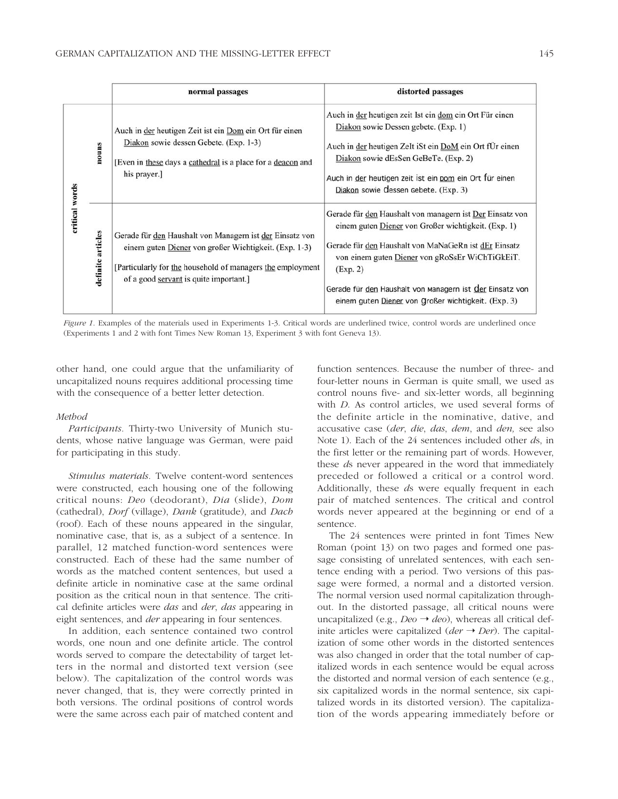|                |                   | normal passages                                                                                                                                                                                                           | distorted passages                                                                                                                                                                                                                                                                                                                                        |
|----------------|-------------------|---------------------------------------------------------------------------------------------------------------------------------------------------------------------------------------------------------------------------|-----------------------------------------------------------------------------------------------------------------------------------------------------------------------------------------------------------------------------------------------------------------------------------------------------------------------------------------------------------|
| critical words | nouns             | Auch in der heutigen Zeit ist ein Dom ein Ort für einen<br>Diakon sowie dessen Gebete. (Exp. 1-3)<br>[Even in these days a cathedral is a place for a deacon and<br>his prayer.]                                          | Auch in der heutigen zeit Ist ein dom ein Ort Für einen<br>Diakon sowie Dessen gebete. (Exp. 1)<br>Auch in der heutigen ZeIt iSt ein DoM ein Ort fÜr einen<br>Diakon sowie dEsSen GeBeTe. (Exp. 2)<br>Auch in der heutigen zeit ist ein pom ein Ort für einen<br>Diakon sowie dessen gebete. (Exp. 3)                                                     |
|                | definite articles | Gerade für den Haushalt von Managern ist der Einsatz von<br>einem guten Diener von großer Wichtigkeit. (Exp. 1-3)<br>[Particularly for the household of managers the employment<br>of a good servant is quite important.] | Gerade für den Haushalt von managern ist Der Einsatz von<br>einem guten Diener von Großer wichtigkeit. (Exp. 1)<br>Gerade für den Haushalt von MaNaGeRn ist dEr Einsatz<br>von einem guten Diener von gRoSsEr WiChTiGkEiT.<br>(Exp. 2)<br>Gerade für den Haushalt von Managern ist der Einsatz von<br>einem guten Diener von Großer wichtigkeit. (Exp. 3) |

*Figure 1*. Examples of the materials used in Experiments 1-3. Critical words are underlined twice, control words are underlined once (Experiments 1 and 2 with font Times New Roman 13, Experiment 3 with font Geneva 13).

other hand, one could argue that the unfamiliarity of uncapitalized nouns requires additional processing time with the consequence of a better letter detection.

# *Method*

*Participants.* Thirty-two University of Munich students, whose native language was German, were paid for participating in this study.

*Stimulus materials.* Twelve content-word sentences were constructed, each housing one of the following critical nouns: *Deo* (deodorant), *Dia* (slide), *Dom* (cathedral), *Dorf* (village), *Dank* (gratitude), and *Dach* (roof)*.* Each of these nouns appeared in the singular, nominative case, that is, as a subject of a sentence. In parallel, 12 matched function-word sentences were constructed. Each of these had the same number of words as the matched content sentences, but used a definite article in nominative case at the same ordinal position as the critical noun in that sentence. The critical definite articles were *das* and *der*, *das* appearing in eight sentences, and *der* appearing in four sentences.

In addition, each sentence contained two control words, one noun and one definite article. The control words served to compare the detectability of target letters in the normal and distorted text version (see below). The capitalization of the control words was never changed, that is, they were correctly printed in both versions. The ordinal positions of control words were the same across each pair of matched content and function sentences. Because the number of three- and four-letter nouns in German is quite small, we used as control nouns five- and six-letter words, all beginning with *D*. As control articles, we used several forms of the definite article in the nominative, dative, and accusative case (*der*, *die*, *das*, *dem*, and *den,* see also Note 1). Each of the 24 sentences included other *d*s, in the first letter or the remaining part of words. However, these *d*s never appeared in the word that immediately preceded or followed a critical or a control word. Additionally, these *d*s were equally frequent in each pair of matched sentences. The critical and control words never appeared at the beginning or end of a sentence.

The 24 sentences were printed in font Times New Roman (point 13) on two pages and formed one passage consisting of unrelated sentences, with each sentence ending with a period. Two versions of this passage were formed, a normal and a distorted version. The normal version used normal capitalization throughout. In the distorted passage, all critical nouns were uncapitalized (e.g.,  $Deo \rightarrow deo$ ), whereas all critical definite articles were capitalized ( $der \rightarrow Der$ ). The capitalization of some other words in the distorted sentences was also changed in order that the total number of capitalized words in each sentence would be equal across the distorted and normal version of each sentence (e.g., six capitalized words in the normal sentence, six capitalized words in its distorted version). The capitalization of the words appearing immediately before or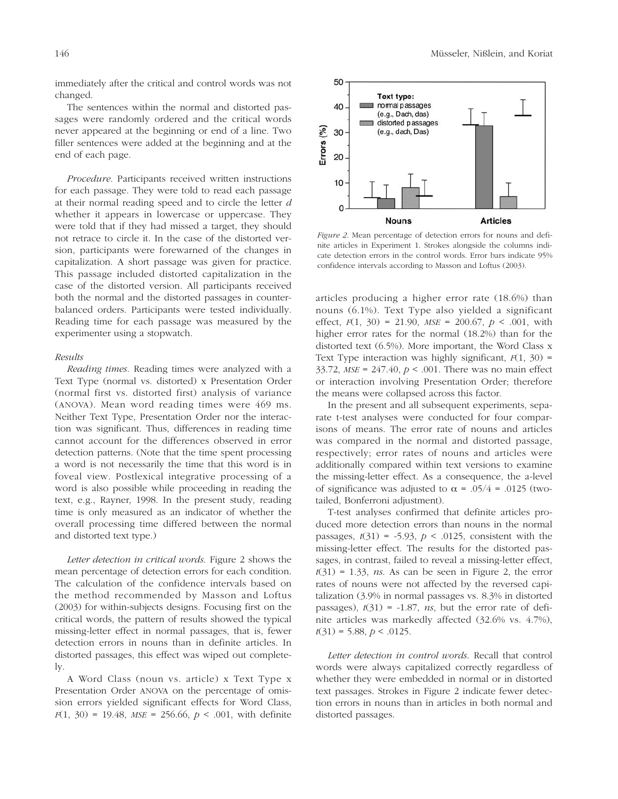The sentences within the normal and distorted passages were randomly ordered and the critical words never appeared at the beginning or end of a line. Two filler sentences were added at the beginning and at the end of each page.

*Procedure*. Participants received written instructions for each passage. They were told to read each passage at their normal reading speed and to circle the letter *d* whether it appears in lowercase or uppercase. They were told that if they had missed a target, they should not retrace to circle it. In the case of the distorted version, participants were forewarned of the changes in capitalization. A short passage was given for practice. This passage included distorted capitalization in the case of the distorted version. All participants received both the normal and the distorted passages in counterbalanced orders. Participants were tested individually. Reading time for each passage was measured by the experimenter using a stopwatch.

# *Results*

*Reading times.* Reading times were analyzed with a Text Type (normal vs. distorted) x Presentation Order (normal first vs. distorted first) analysis of variance (ANOVA). Mean word reading times were 469 ms. Neither Text Type, Presentation Order nor the interaction was significant. Thus, differences in reading time cannot account for the differences observed in error detection patterns. (Note that the time spent processing a word is not necessarily the time that this word is in foveal view. Postlexical integrative processing of a word is also possible while proceeding in reading the text, e.g., Rayner, 1998. In the present study, reading time is only measured as an indicator of whether the overall processing time differed between the normal and distorted text type.)

*Letter detection in critical words*. Figure 2 shows the mean percentage of detection errors for each condition. The calculation of the confidence intervals based on the method recommended by Masson and Loftus (2003) for within-subjects designs. Focusing first on the critical words, the pattern of results showed the typical missing-letter effect in normal passages, that is, fewer detection errors in nouns than in definite articles. In distorted passages, this effect was wiped out completely.

A Word Class (noun vs. article) x Text Type x Presentation Order ANOVA on the percentage of omission errors yielded significant effects for Word Class, *F*(1, 30) = 19.48, *MSE* = 256.66, *p* < .001, with definite



*Figure 2*. Mean percentage of detection errors for nouns and definite articles in Experiment 1. Strokes alongside the columns indicate detection errors in the control words. Error bars indicate 95% confidence intervals according to Masson and Loftus (2003).

articles producing a higher error rate (18.6%) than nouns (6.1%). Text Type also yielded a significant effect,  $F(1, 30) = 21.90$ ,  $MSE = 200.67$ ,  $p < .001$ , with higher error rates for the normal (18.2%) than for the distorted text (6.5%). More important, the Word Class x Text Type interaction was highly significant, *F*(1, 30) = 33.72, *MSE* = 247.40, *p* < .001. There was no main effect or interaction involving Presentation Order; therefore the means were collapsed across this factor.

In the present and all subsequent experiments, separate t-test analyses were conducted for four comparisons of means. The error rate of nouns and articles was compared in the normal and distorted passage, respectively; error rates of nouns and articles were additionally compared within text versions to examine the missing-letter effect. As a consequence, the a-level of significance was adjusted to  $\alpha$  = .05/4 = .0125 (twotailed, Bonferroni adjustment).

T-test analyses confirmed that definite articles produced more detection errors than nouns in the normal passages,  $t(31) = -5.93$ ,  $p < .0125$ , consistent with the missing-letter effect. The results for the distorted passages, in contrast, failed to reveal a missing-letter effect,  $t(31) = 1.33$ , *ns.* As can be seen in Figure 2, the error rates of nouns were not affected by the reversed capitalization (3.9% in normal passages vs. 8.3% in distorted passages),  $t(31) = -1.87$ , *ns*, but the error rate of definite articles was markedly affected (32.6% vs. 4.7%), *t*(31) = 5.88, *p* < .0125.

*Letter detection in control words*. Recall that control words were always capitalized correctly regardless of whether they were embedded in normal or in distorted text passages. Strokes in Figure 2 indicate fewer detection errors in nouns than in articles in both normal and distorted passages.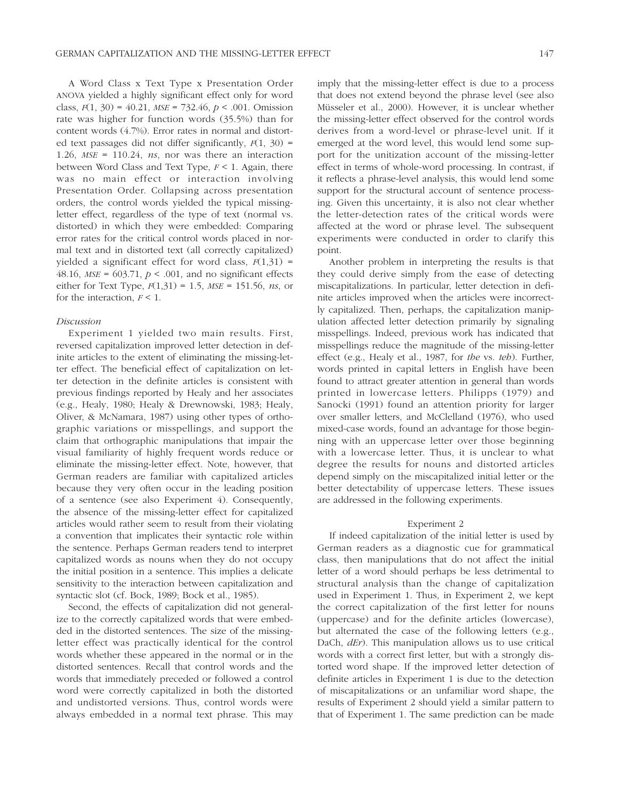A Word Class x Text Type x Presentation Order ANOVA yielded a highly significant effect only for word class, *F*(1, 30) = 40.21, *MSE* = 732.46, *p* < .001. Omission rate was higher for function words (35.5%) than for content words (4.7%). Error rates in normal and distorted text passages did not differ significantly, *F*(1, 30) = 1.26, *MSE* = 110.24, *ns*, nor was there an interaction between Word Class and Text Type, *F* < 1. Again, there was no main effect or interaction involving Presentation Order. Collapsing across presentation orders, the control words yielded the typical missingletter effect, regardless of the type of text (normal vs. distorted) in which they were embedded: Comparing error rates for the critical control words placed in normal text and in distorted text (all correctly capitalized) yielded a significant effect for word class,  $F(1,31)$  = 48.16, *MSE* = 603.71, *p* < .001, and no significant effects either for Text Type, *F*(1,31) = 1.5, *MSE* = 151.56, *ns*, or for the interaction,  $F < 1$ .

#### *Discussion*

Experiment 1 yielded two main results. First, reversed capitalization improved letter detection in definite articles to the extent of eliminating the missing-letter effect. The beneficial effect of capitalization on letter detection in the definite articles is consistent with previous findings reported by Healy and her associates (e.g., Healy, 1980; Healy & Drewnowski, 1983; Healy, Oliver, & McNamara, 1987) using other types of orthographic variations or misspellings, and support the claim that orthographic manipulations that impair the visual familiarity of highly frequent words reduce or eliminate the missing-letter effect. Note, however, that German readers are familiar with capitalized articles because they very often occur in the leading position of a sentence (see also Experiment 4). Consequently, the absence of the missing-letter effect for capitalized articles would rather seem to result from their violating a convention that implicates their syntactic role within the sentence. Perhaps German readers tend to interpret capitalized words as nouns when they do not occupy the initial position in a sentence. This implies a delicate sensitivity to the interaction between capitalization and syntactic slot (cf. Bock, 1989; Bock et al., 1985).

Second, the effects of capitalization did not generalize to the correctly capitalized words that were embedded in the distorted sentences. The size of the missingletter effect was practically identical for the control words whether these appeared in the normal or in the distorted sentences. Recall that control words and the words that immediately preceded or followed a control word were correctly capitalized in both the distorted and undistorted versions. Thus, control words were always embedded in a normal text phrase. This may imply that the missing-letter effect is due to a process that does not extend beyond the phrase level (see also Müsseler et al., 2000). However, it is unclear whether the missing-letter effect observed for the control words derives from a word-level or phrase-level unit. If it emerged at the word level, this would lend some support for the unitization account of the missing-letter effect in terms of whole-word processing. In contrast, if it reflects a phrase-level analysis, this would lend some support for the structural account of sentence processing. Given this uncertainty, it is also not clear whether the letter-detection rates of the critical words were affected at the word or phrase level. The subsequent experiments were conducted in order to clarify this point.

Another problem in interpreting the results is that they could derive simply from the ease of detecting miscapitalizations. In particular, letter detection in definite articles improved when the articles were incorrectly capitalized. Then, perhaps, the capitalization manipulation affected letter detection primarily by signaling misspellings. Indeed, previous work has indicated that misspellings reduce the magnitude of the missing-letter effect (e.g., Healy et al., 1987, for *the* vs. *teh*). Further, words printed in capital letters in English have been found to attract greater attention in general than words printed in lowercase letters. Philipps (1979) and Sanocki (1991) found an attention priority for larger over smaller letters, and McClelland (1976), who used mixed-case words, found an advantage for those beginning with an uppercase letter over those beginning with a lowercase letter. Thus, it is unclear to what degree the results for nouns and distorted articles depend simply on the miscapitalized initial letter or the better detectability of uppercase letters. These issues are addressed in the following experiments.

#### Experiment 2

If indeed capitalization of the initial letter is used by German readers as a diagnostic cue for grammatical class, then manipulations that do not affect the initial letter of a word should perhaps be less detrimental to structural analysis than the change of capitalization used in Experiment 1. Thus, in Experiment 2, we kept the correct capitalization of the first letter for nouns (uppercase) and for the definite articles (lowercase), but alternated the case of the following letters (e.g., DaCh, *dEr*). This manipulation allows us to use critical words with a correct first letter, but with a strongly distorted word shape. If the improved letter detection of definite articles in Experiment 1 is due to the detection of miscapitalizations or an unfamiliar word shape, the results of Experiment 2 should yield a similar pattern to that of Experiment 1. The same prediction can be made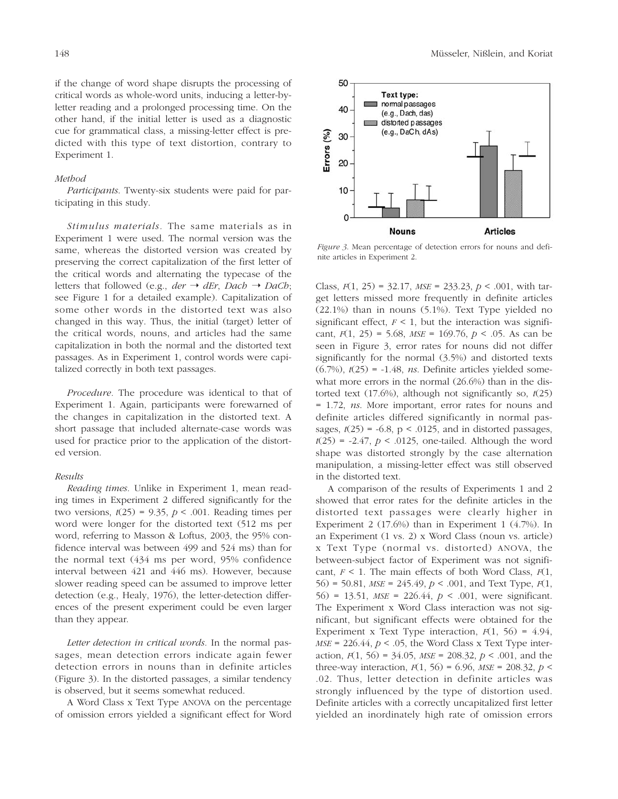if the change of word shape disrupts the processing of critical words as whole-word units, inducing a letter-byletter reading and a prolonged processing time. On the other hand, if the initial letter is used as a diagnostic cue for grammatical class, a missing-letter effect is predicted with this type of text distortion, contrary to Experiment 1.

# *Method*

*Participants*. Twenty-six students were paid for participating in this study.

*Stimulus materials.* The same materials as in Experiment 1 were used. The normal version was the same, whereas the distorted version was created by preserving the correct capitalization of the first letter of the critical words and alternating the typecase of the letters that followed (e.g., *der*  $\rightarrow$  *dEr*, *Dach*  $\rightarrow$  *DaCh*; see Figure 1 for a detailed example). Capitalization of some other words in the distorted text was also changed in this way. Thus, the initial (target) letter of the critical words, nouns, and articles had the same capitalization in both the normal and the distorted text passages. As in Experiment 1, control words were capitalized correctly in both text passages.

*Procedure.* The procedure was identical to that of Experiment 1. Again, participants were forewarned of the changes in capitalization in the distorted text. A short passage that included alternate-case words was used for practice prior to the application of the distorted version.

# *Results*

*Reading times.* Unlike in Experiment 1, mean reading times in Experiment 2 differed significantly for the two versions,  $t(25) = 9.35$ ,  $p < .001$ . Reading times per word were longer for the distorted text (512 ms per word, referring to Masson & Loftus, 2003, the 95% confidence interval was between 499 and 524 ms) than for the normal text (434 ms per word, 95% confidence interval between 421 and 446 ms). However, because slower reading speed can be assumed to improve letter detection (e.g., Healy, 1976), the letter-detection differences of the present experiment could be even larger than they appear.

*Letter detection in critical words.* In the normal passages, mean detection errors indicate again fewer detection errors in nouns than in definite articles (Figure 3). In the distorted passages, a similar tendency is observed, but it seems somewhat reduced.

A Word Class x Text Type ANOVA on the percentage of omission errors yielded a significant effect for Word



*Figure 3*. Mean percentage of detection errors for nouns and definite articles in Experiment 2.

Class, *F*(1, 25) = 32.17, *MSE* = 233.23, *p* < .001, with target letters missed more frequently in definite articles (22.1%) than in nouns (5.1%). Text Type yielded no significant effect,  $F < 1$ , but the interaction was significant, *F*(1, 25) = 5.68, *MSE* = 169.76, *p* < .05. As can be seen in Figure 3, error rates for nouns did not differ significantly for the normal (3.5%) and distorted texts (6.7%), *t*(25) = -1.48, *ns*. Definite articles yielded somewhat more errors in the normal (26.6%) than in the distorted text (17.6%), although not significantly so, *t*(25) = 1.72, *ns*. More important, error rates for nouns and definite articles differed significantly in normal passages,  $t(25) = -6.8$ ,  $p < .0125$ , and in distorted passages,  $t(25) = -2.47$ ,  $p < .0125$ , one-tailed. Although the word shape was distorted strongly by the case alternation manipulation, a missing-letter effect was still observed in the distorted text.

A comparison of the results of Experiments 1 and 2 showed that error rates for the definite articles in the distorted text passages were clearly higher in Experiment 2 (17.6%) than in Experiment 1 (4.7%). In an Experiment (1 vs. 2) x Word Class (noun vs. article) x Text Type (normal vs. distorted) ANOVA, the between-subject factor of Experiment was not significant, *F* < 1. The main effects of both Word Class, *F*(1, 56) = 50.81, *MSE* = 245.49, *p* < .001, and Text Type, *F*(1, 56) = 13.51, *MSE* = 226.44, *p* < .001, were significant. The Experiment x Word Class interaction was not significant, but significant effects were obtained for the Experiment x Text Type interaction,  $F(1, 56) = 4.94$ ,  $MSE = 226.44$ ,  $p < .05$ , the Word Class x Text Type interaction, *F*(1, 56) = 34.05, *MSE* = 208.32, *p* < .001, and the three-way interaction,  $F(1, 56) = 6.96$ ,  $MSE = 208.32$ ,  $p <$ .02. Thus, letter detection in definite articles was strongly influenced by the type of distortion used. Definite articles with a correctly uncapitalized first letter yielded an inordinately high rate of omission errors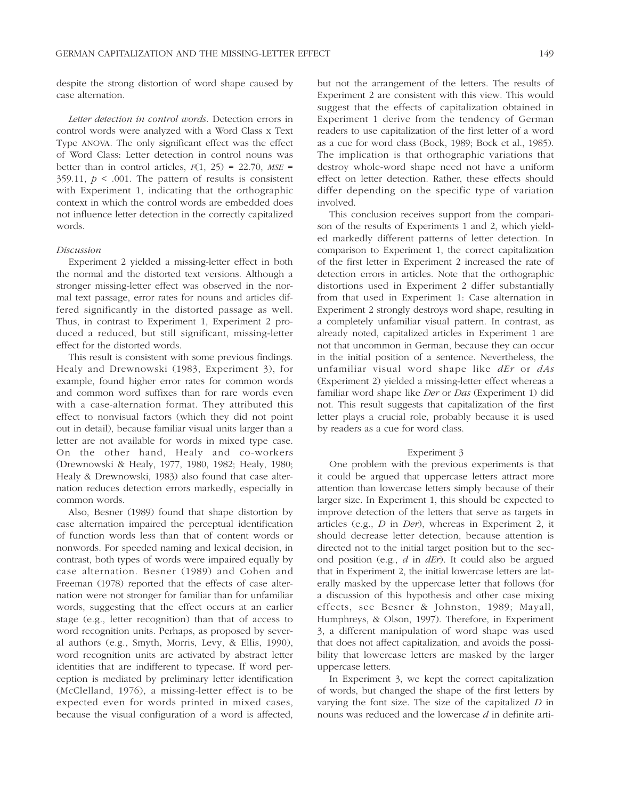despite the strong distortion of word shape caused by case alternation.

*Letter detection in control words.* Detection errors in control words were analyzed with a Word Class x Text Type ANOVA. The only significant effect was the effect of Word Class: Letter detection in control nouns was better than in control articles,  $F(1, 25) = 22.70$ ,  $MSE =$ 359.11,  $p < .001$ . The pattern of results is consistent with Experiment 1, indicating that the orthographic context in which the control words are embedded does not influence letter detection in the correctly capitalized words.

# *Discussion*

Experiment 2 yielded a missing-letter effect in both the normal and the distorted text versions. Although a stronger missing-letter effect was observed in the normal text passage, error rates for nouns and articles differed significantly in the distorted passage as well. Thus, in contrast to Experiment 1, Experiment 2 produced a reduced, but still significant, missing-letter effect for the distorted words.

This result is consistent with some previous findings. Healy and Drewnowski (1983, Experiment 3), for example, found higher error rates for common words and common word suffixes than for rare words even with a case-alternation format. They attributed this effect to nonvisual factors (which they did not point out in detail), because familiar visual units larger than a letter are not available for words in mixed type case. On the other hand, Healy and co-workers (Drewnowski & Healy, 1977, 1980, 1982; Healy, 1980; Healy & Drewnowski, 1983) also found that case alternation reduces detection errors markedly, especially in common words.

Also, Besner (1989) found that shape distortion by case alternation impaired the perceptual identification of function words less than that of content words or nonwords. For speeded naming and lexical decision, in contrast, both types of words were impaired equally by case alternation. Besner (1989) and Cohen and Freeman (1978) reported that the effects of case alternation were not stronger for familiar than for unfamiliar words, suggesting that the effect occurs at an earlier stage (e.g., letter recognition) than that of access to word recognition units. Perhaps, as proposed by several authors (e.g., Smyth, Morris, Levy, & Ellis, 1990), word recognition units are activated by abstract letter identities that are indifferent to typecase. If word perception is mediated by preliminary letter identification (McClelland, 1976), a missing-letter effect is to be expected even for words printed in mixed cases, because the visual configuration of a word is affected, but not the arrangement of the letters. The results of Experiment 2 are consistent with this view. This would suggest that the effects of capitalization obtained in Experiment 1 derive from the tendency of German readers to use capitalization of the first letter of a word as a cue for word class (Bock, 1989; Bock et al., 1985). The implication is that orthographic variations that destroy whole-word shape need not have a uniform effect on letter detection. Rather, these effects should differ depending on the specific type of variation involved.

This conclusion receives support from the comparison of the results of Experiments 1 and 2, which yielded markedly different patterns of letter detection. In comparison to Experiment 1, the correct capitalization of the first letter in Experiment 2 increased the rate of detection errors in articles. Note that the orthographic distortions used in Experiment 2 differ substantially from that used in Experiment 1: Case alternation in Experiment 2 strongly destroys word shape, resulting in a completely unfamiliar visual pattern. In contrast, as already noted, capitalized articles in Experiment 1 are not that uncommon in German, because they can occur in the initial position of a sentence. Nevertheless, the unfamiliar visual word shape like *dEr* or *dAs* (Experiment 2) yielded a missing-letter effect whereas a familiar word shape like *Der* or *Das* (Experiment 1) did not. This result suggests that capitalization of the first letter plays a crucial role, probably because it is used by readers as a cue for word class.

#### Experiment 3

One problem with the previous experiments is that it could be argued that uppercase letters attract more attention than lowercase letters simply because of their larger size. In Experiment 1, this should be expected to improve detection of the letters that serve as targets in articles (e.g., *D* in *Der*), whereas in Experiment 2, it should decrease letter detection, because attention is directed not to the initial target position but to the second position (e.g., *d* in *dEr*). It could also be argued that in Experiment 2, the initial lowercase letters are laterally masked by the uppercase letter that follows (for a discussion of this hypothesis and other case mixing effects, see Besner & Johnston, 1989; Mayall, Humphreys, & Olson, 1997). Therefore, in Experiment 3, a different manipulation of word shape was used that does not affect capitalization, and avoids the possibility that lowercase letters are masked by the larger uppercase letters.

In Experiment 3, we kept the correct capitalization of words, but changed the shape of the first letters by varying the font size. The size of the capitalized *D* in nouns was reduced and the lowercase *d* in definite arti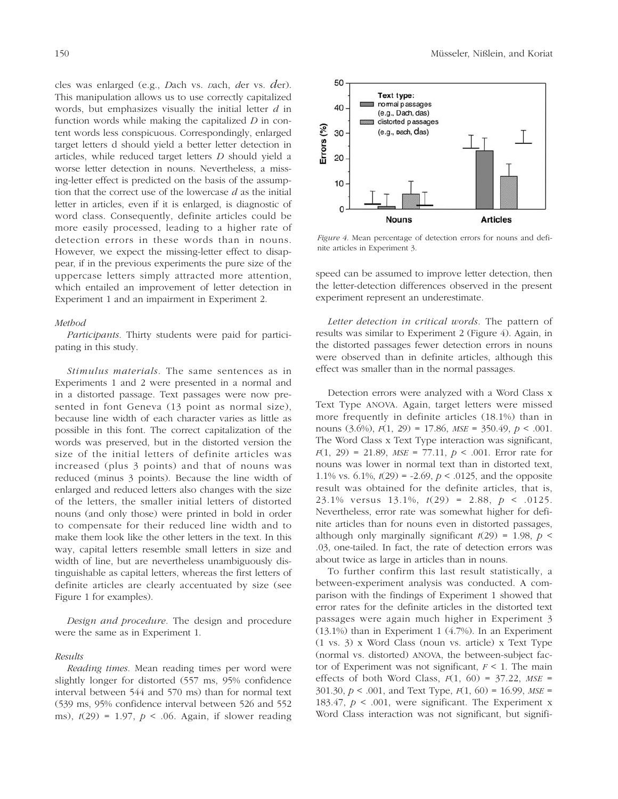cles was enlarged (e.g., *D*ach vs. *D*ach, *d*er vs. *d*er). This manipulation allows us to use correctly capitalized words, but emphasizes visually the initial letter *d* in function words while making the capitalized *D* in content words less conspicuous. Correspondingly, enlarged target letters d should yield a better letter detection in articles, while reduced target letters *D* should yield a worse letter detection in nouns. Nevertheless, a missing-letter effect is predicted on the basis of the assumption that the correct use of the lowercase *d* as the initial letter in articles, even if it is enlarged, is diagnostic of word class. Consequently, definite articles could be more easily processed, leading to a higher rate of detection errors in these words than in nouns. However, we expect the missing-letter effect to disappear, if in the previous experiments the pure size of the uppercase letters simply attracted more attention, which entailed an improvement of letter detection in Experiment 1 and an impairment in Experiment 2.

#### *Method*

*Participants.* Thirty students were paid for participating in this study.

*Stimulus materials.* The same sentences as in Experiments 1 and 2 were presented in a normal and in a distorted passage. Text passages were now presented in font Geneva (13 point as normal size), because line width of each character varies as little as possible in this font. The correct capitalization of the words was preserved, but in the distorted version the size of the initial letters of definite articles was increased (plus 3 points) and that of nouns was reduced (minus 3 points). Because the line width of enlarged and reduced letters also changes with the size of the letters, the smaller initial letters of distorted nouns (and only those) were printed in bold in order to compensate for their reduced line width and to make them look like the other letters in the text. In this way, capital letters resemble small letters in size and width of line, but are nevertheless unambiguously distinguishable as capital letters, whereas the first letters of definite articles are clearly accentuated by size (see Figure 1 for examples).

*Design and procedure.* The design and procedure were the same as in Experiment 1.

#### *Results*

*Reading times.* Mean reading times per word were slightly longer for distorted (557 ms, 95% confidence interval between 544 and 570 ms) than for normal text (539 ms, 95% confidence interval between 526 and 552 ms), *t*(29) = 1.97, *p* < .06. Again, if slower reading



*Figure 4*. Mean percentage of detection errors for nouns and definite articles in Experiment 3.

speed can be assumed to improve letter detection, then the letter-detection differences observed in the present experiment represent an underestimate.

*Letter detection in critical words.* The pattern of results was similar to Experiment 2 (Figure 4). Again, in the distorted passages fewer detection errors in nouns were observed than in definite articles, although this effect was smaller than in the normal passages.

Detection errors were analyzed with a Word Class x Text Type ANOVA. Again, target letters were missed more frequently in definite articles (18.1%) than in nouns (3.6%), *F*(1, 29) = 17.86, *MSE* = 350.49, *p* < .001. The Word Class x Text Type interaction was significant, *F*(1, 29) = 21.89, *MSE* = 77.11, *p* < .001. Error rate for nouns was lower in normal text than in distorted text, 1.1% vs. 6.1%, *t*(29) = -2.69, *p* < .0125, and the opposite result was obtained for the definite articles, that is, 23.1% versus 13.1%, *t*(29) = 2.88, *p* < .0125. Nevertheless, error rate was somewhat higher for definite articles than for nouns even in distorted passages, although only marginally significant  $t(29) = 1.98$ ,  $p <$ .03, one-tailed. In fact, the rate of detection errors was about twice as large in articles than in nouns.

To further confirm this last result statistically, a between-experiment analysis was conducted. A comparison with the findings of Experiment 1 showed that error rates for the definite articles in the distorted text passages were again much higher in Experiment 3 (13.1%) than in Experiment 1 (4.7%). In an Experiment (1 vs. 3) x Word Class (noun vs. article) x Text Type (normal vs. distorted) ANOVA, the between-subject factor of Experiment was not significant,  $F < 1$ . The main effects of both Word Class,  $F(1, 60) = 37.22$ ,  $MSE =$ 301.30, *p* < .001, and Text Type, *F*(1, 60) = 16.99, *MSE* = 183.47,  $p < .001$ , were significant. The Experiment x Word Class interaction was not significant, but signifi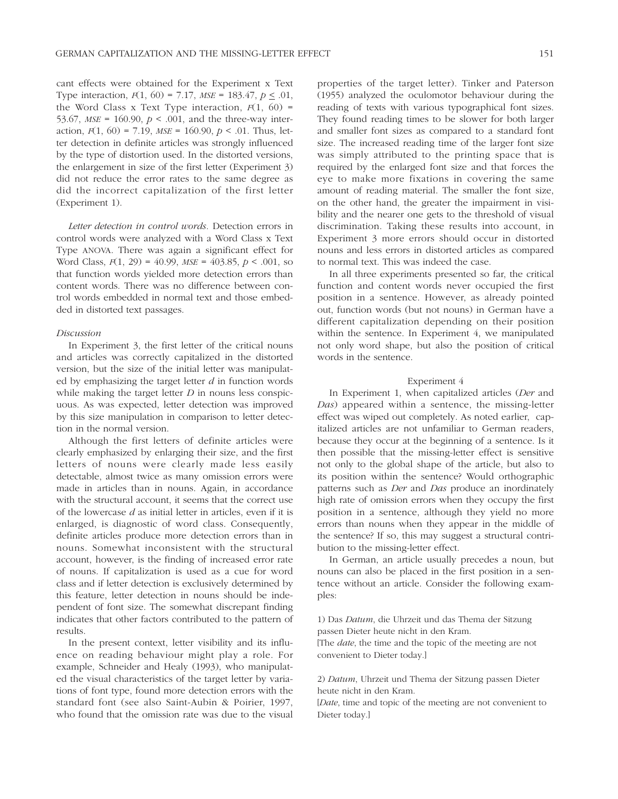cant effects were obtained for the Experiment x Text Type interaction, *F*(1, 60) = 7.17, *MSE* = 183.47, *p* < .01, the Word Class x Text Type interaction,  $F(1, 60)$  = 53.67,  $MSE = 160.90$ ,  $p < .001$ , and the three-way interaction,  $F(1, 60) = 7.19$ ,  $MSE = 160.90$ ,  $p < .01$ . Thus, letter detection in definite articles was strongly influenced by the type of distortion used. In the distorted versions, the enlargement in size of the first letter (Experiment 3) did not reduce the error rates to the same degree as did the incorrect capitalization of the first letter (Experiment 1).

*Letter detection in control words.* Detection errors in control words were analyzed with a Word Class x Text Type ANOVA. There was again a significant effect for Word Class, *F*(1, 29) = 40.99, *MSE* = 403.85, *p* < .001, so that function words yielded more detection errors than content words. There was no difference between control words embedded in normal text and those embedded in distorted text passages.

# *Discussion*

In Experiment 3, the first letter of the critical nouns and articles was correctly capitalized in the distorted version, but the size of the initial letter was manipulated by emphasizing the target letter *d* in function words while making the target letter *D* in nouns less conspicuous. As was expected, letter detection was improved by this size manipulation in comparison to letter detection in the normal version.

Although the first letters of definite articles were clearly emphasized by enlarging their size, and the first letters of nouns were clearly made less easily detectable, almost twice as many omission errors were made in articles than in nouns. Again, in accordance with the structural account, it seems that the correct use of the lowercase *d* as initial letter in articles, even if it is enlarged, is diagnostic of word class. Consequently, definite articles produce more detection errors than in nouns. Somewhat inconsistent with the structural account, however, is the finding of increased error rate of nouns. If capitalization is used as a cue for word class and if letter detection is exclusively determined by this feature, letter detection in nouns should be independent of font size. The somewhat discrepant finding indicates that other factors contributed to the pattern of results.

In the present context, letter visibility and its influence on reading behaviour might play a role. For example, Schneider and Healy (1993), who manipulated the visual characteristics of the target letter by variations of font type, found more detection errors with the standard font (see also Saint-Aubin & Poirier, 1997, who found that the omission rate was due to the visual properties of the target letter). Tinker and Paterson (1955) analyzed the oculomotor behaviour during the reading of texts with various typographical font sizes. They found reading times to be slower for both larger and smaller font sizes as compared to a standard font size. The increased reading time of the larger font size was simply attributed to the printing space that is required by the enlarged font size and that forces the eye to make more fixations in covering the same amount of reading material. The smaller the font size, on the other hand, the greater the impairment in visibility and the nearer one gets to the threshold of visual discrimination. Taking these results into account, in Experiment 3 more errors should occur in distorted nouns and less errors in distorted articles as compared to normal text. This was indeed the case.

In all three experiments presented so far, the critical function and content words never occupied the first position in a sentence. However, as already pointed out, function words (but not nouns) in German have a different capitalization depending on their position within the sentence. In Experiment 4, we manipulated not only word shape, but also the position of critical words in the sentence.

#### Experiment 4

In Experiment 1, when capitalized articles (*Der* and *Das*) appeared within a sentence, the missing-letter effect was wiped out completely. As noted earlier, capitalized articles are not unfamiliar to German readers, because they occur at the beginning of a sentence. Is it then possible that the missing-letter effect is sensitive not only to the global shape of the article, but also to its position within the sentence? Would orthographic patterns such as *Der* and *Das* produce an inordinately high rate of omission errors when they occupy the first position in a sentence, although they yield no more errors than nouns when they appear in the middle of the sentence? If so, this may suggest a structural contribution to the missing-letter effect.

In German, an article usually precedes a noun, but nouns can also be placed in the first position in a sentence without an article. Consider the following examples:

1) Das *Datum*, die Uhrzeit und das Thema der Sitzung passen Dieter heute nicht in den Kram.

[The *date*, the time and the topic of the meeting are not convenient to Dieter today.]

2) *Datum*, Uhrzeit und Thema der Sitzung passen Dieter heute nicht in den Kram.

[*Date*, time and topic of the meeting are not convenient to Dieter today.]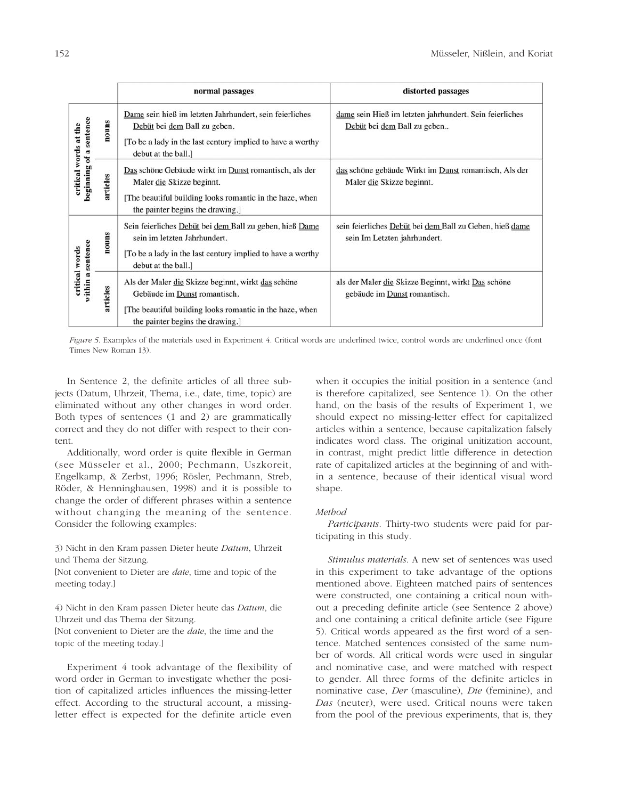|                                                  |          | normal passages                                                                                                                                                                    | distorted passages                                                                      |
|--------------------------------------------------|----------|------------------------------------------------------------------------------------------------------------------------------------------------------------------------------------|-----------------------------------------------------------------------------------------|
| beginning of a sentence<br>critical words at the | nouns    | Dame sein hieß im letzten Jahrhundert, sein feierliches<br>Debüt bei dem Ball zu geben.<br>[To be a lady in the last century implied to have a worthy<br>debut at the ball.]       | dame sein Hieß im letzten jahrhundert, Sein feierliches<br>Debüt bei dem Ball zu geben  |
|                                                  | articles | Das schöne Gebäude wirkt im Dunst romantisch, als der<br>Maler die Skizze beginnt.<br>[The beautiful building looks romantic in the haze, when<br>the painter begins the drawing.] | das schöne gebäude Wirkt im Dunst romantisch, Als der<br>Maler die Skizze beginnt.      |
| within a sentence<br>critical words              | nouns    | Sein feierliches Debüt bei dem Ball zu geben, hieß Dame<br>sein im letzten Jahrhundert.<br>[To be a lady in the last century implied to have a worthy<br>debut at the ball.]       | sein feierliches Debüt bei dem Ball zu Geben, hieß dame<br>sein Im Letzten jahrhundert. |
|                                                  | articles | Als der Maler die Skizze beginnt, wirkt das schöne<br>Gebäude im Dunst romantisch.<br>[The beautiful building looks romantic in the haze, when<br>the painter begins the drawing.] | als der Maler die Skizze Beginnt, wirkt Das schöne<br>gebäude im Dunst romantisch.      |

*Figure 5*. Examples of the materials used in Experiment 4. Critical words are underlined twice, control words are underlined once (font Times New Roman 13).

In Sentence 2, the definite articles of all three subjects (Datum, Uhrzeit, Thema, i.e., date, time, topic) are eliminated without any other changes in word order. Both types of sentences (1 and 2) are grammatically correct and they do not differ with respect to their content.

Additionally, word order is quite flexible in German (see Müsseler et al., 2000; Pechmann, Uszkoreit, Engelkamp, & Zerbst, 1996; Rösler, Pechmann, Streb, Röder, & Henninghausen, 1998) and it is possible to change the order of different phrases within a sentence without changing the meaning of the sentence. Consider the following examples:

3) Nicht in den Kram passen Dieter heute *Datum*, Uhrzeit und Thema der Sitzung.

[Not convenient to Dieter are *date*, time and topic of the meeting today.]

4) Nicht in den Kram passen Dieter heute das *Datum*, die Uhrzeit und das Thema der Sitzung.

[Not convenient to Dieter are the *date*, the time and the topic of the meeting today.]

Experiment 4 took advantage of the flexibility of word order in German to investigate whether the position of capitalized articles influences the missing-letter effect. According to the structural account, a missingletter effect is expected for the definite article even

when it occupies the initial position in a sentence (and is therefore capitalized, see Sentence 1). On the other hand, on the basis of the results of Experiment 1, we should expect no missing-letter effect for capitalized articles within a sentence, because capitalization falsely indicates word class. The original unitization account, in contrast, might predict little difference in detection rate of capitalized articles at the beginning of and within a sentence, because of their identical visual word shape.

# *Method*

*Participants.* Thirty-two students were paid for participating in this study.

*Stimulus materials.* A new set of sentences was used in this experiment to take advantage of the options mentioned above. Eighteen matched pairs of sentences were constructed, one containing a critical noun without a preceding definite article (see Sentence 2 above) and one containing a critical definite article (see Figure 5). Critical words appeared as the first word of a sentence. Matched sentences consisted of the same number of words. All critical words were used in singular and nominative case, and were matched with respect to gender. All three forms of the definite articles in nominative case, *Der* (masculine), *Die* (feminine), and *Das* (neuter), were used. Critical nouns were taken from the pool of the previous experiments, that is, they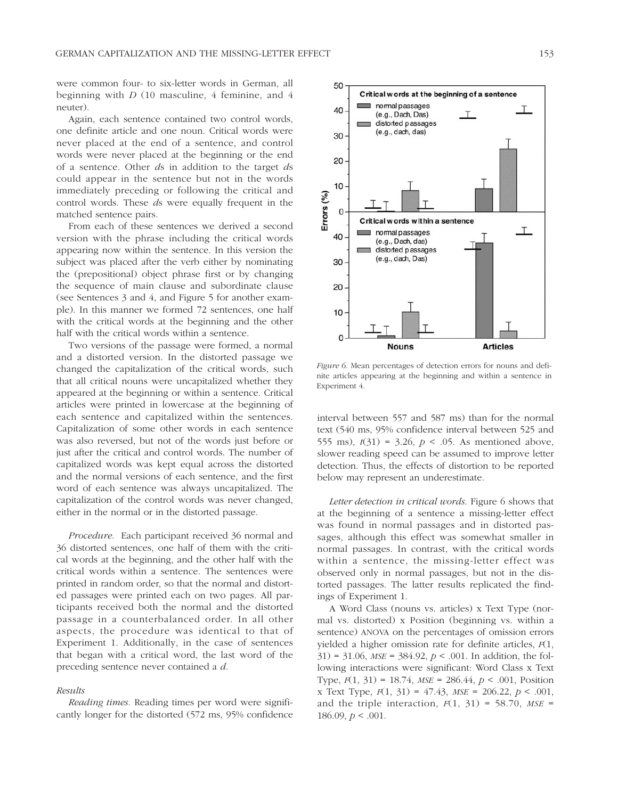were common four- to six-letter words in German, all beginning with  $D(10)$  masculine, 4 feminine, and 4 neuter).

Again, each sentence contained two control words, one definite article and one noun. Critical words were never placed at the end of a sentence, and control words were never placed at the beginning or the end of a sentence. Other *d*s in addition to the target *d*s could appear in the sentence but not in the words immediately preceding or following the critical and control words. These *d*s were equally frequent in the matched sentence pairs.

From each of these sentences we derived a second version with the phrase including the critical words appearing now within the sentence. In this version the subject was placed after the verb either by nominating the (prepositional) object phrase first or by changing the sequence of main clause and subordinate clause (see Sentences 3 and 4, and Figure 5 for another example). In this manner we formed 72 sentences, one half with the critical words at the beginning and the other half with the critical words within a sentence.

Two versions of the passage were formed, a normal and a distorted version. In the distorted passage we changed the capitalization of the critical words, such that all critical nouns were uncapitalized whether they appeared at the beginning or within a sentence. Critical articles were printed in lowercase at the beginning of each sentence and capitalized within the sentences. Capitalization of some other words in each sentence was also reversed, but not of the words just before or just after the critical and control words. The number of capitalized words was kept equal across the distorted and the normal versions of each sentence, and the first word of each sentence was always uncapitalized. The capitalization of the control words was never changed, either in the normal or in the distorted passage.

*Procedure*. Each participant received 36 normal and 36 distorted sentences, one half of them with the critical words at the beginning, and the other half with the critical words within a sentence. The sentences were printed in random order, so that the normal and distorted passages were printed each on two pages. All participants received both the normal and the distorted passage in a counterbalanced order. In all other aspects, the procedure was identical to that of Experiment 1. Additionally, in the case of sentences that began with a critical word, the last word of the preceding sentence never contained a *d*.

# *Results*

*Reading times.* Reading times per word were significantly longer for the distorted (572 ms, 95% confidence



*Figure 6*. Mean percentages of detection errors for nouns and definite articles appearing at the beginning and within a sentence in Experiment 4.

interval between 557 and 587 ms) than for the normal text (540 ms, 95% confidence interval between 525 and 555 ms),  $t(31) = 3.26$ ,  $p < .05$ . As mentioned above, slower reading speed can be assumed to improve letter detection. Thus, the effects of distortion to be reported below may represent an underestimate.

*Letter detection in critical words*. Figure 6 shows that at the beginning of a sentence a missing-letter effect was found in normal passages and in distorted passages, although this effect was somewhat smaller in normal passages. In contrast, with the critical words within a sentence, the missing-letter effect was observed only in normal passages, but not in the distorted passages. The latter results replicated the findings of Experiment 1.

A Word Class (nouns vs. articles) x Text Type (normal vs. distorted) x Position (beginning vs. within a sentence) ANOVA on the percentages of omission errors yielded a higher omission rate for definite articles, *F*(1, 31) = 31.06, *MSE* = 384.92, *p* < .001. In addition, the following interactions were significant: Word Class x Text Type, *F*(1, 31) = 18.74, *MSE* = 286.44, *p* < .001, Position x Text Type, *F*(1, 31) = 47.43, *MSE* = 206.22, *p* < .001, and the triple interaction,  $F(1, 31) = 58.70$ ,  $MSE =$ 186.09,  $p < .001$ .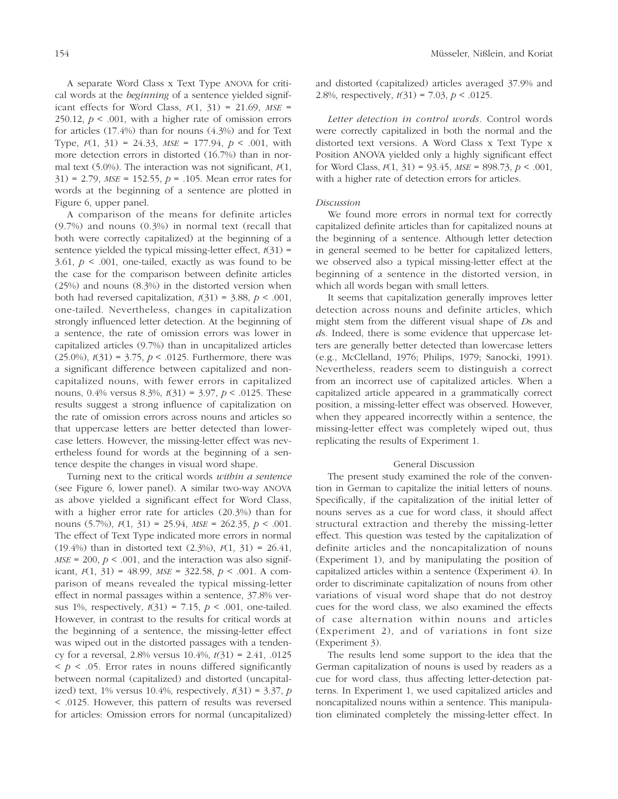A separate Word Class x Text Type ANOVA for critical words at the *beginning* of a sentence yielded significant effects for Word Class, *F*(1, 31) = 21.69, *MSE* = 250.12,  $p < .001$ , with a higher rate of omission errors for articles (17.4%) than for nouns (4.3%) and for Text Type, *F*(1, 31) = 24.33, *MSE* = 177.94, *p* < .001, with more detection errors in distorted (16.7%) than in normal text (5.0%). The interaction was not significant, *F*(1, 31) = 2.79, *MSE* = 152.55, *p* = .105. Mean error rates for words at the beginning of a sentence are plotted in Figure 6, upper panel.

A comparison of the means for definite articles (9.7%) and nouns (0.3%) in normal text (recall that both were correctly capitalized) at the beginning of a sentence yielded the typical missing-letter effect,  $t(31)$  = 3.61,  $p < .001$ , one-tailed, exactly as was found to be the case for the comparison between definite articles (25%) and nouns (8.3%) in the distorted version when both had reversed capitalization,  $t(31) = 3.88$ ,  $p < .001$ , one-tailed. Nevertheless, changes in capitalization strongly influenced letter detection. At the beginning of a sentence, the rate of omission errors was lower in capitalized articles (9.7%) than in uncapitalized articles (25.0%), *t*(31) = 3.75, *p* < .0125. Furthermore, there was a significant difference between capitalized and noncapitalized nouns, with fewer errors in capitalized nouns, 0.4% versus 8.3%, *t*(31) = 3.97, *p* < .0125. These results suggest a strong influence of capitalization on the rate of omission errors across nouns and articles so that uppercase letters are better detected than lowercase letters. However, the missing-letter effect was nevertheless found for words at the beginning of a sentence despite the changes in visual word shape.

Turning next to the critical words *within a sentence* (see Figure 6, lower panel). A similar two-way ANOVA as above yielded a significant effect for Word Class, with a higher error rate for articles (20.3%) than for nouns (5.7%), *F*(1, 31) = 25.94, *MSE* = 262.35, *p* < .001. The effect of Text Type indicated more errors in normal (19.4%) than in distorted text (2.3%), *F*(1, 31) = 26.41,  $MSE = 200$ ,  $p < .001$ , and the interaction was also significant, *F*(1, 31) = 48.99, *MSE* = 322.58, *p* < .001. A comparison of means revealed the typical missing-letter effect in normal passages within a sentence, 37.8% versus 1%, respectively, *t*(31) = 7.15, *p* < .001, one-tailed. However, in contrast to the results for critical words at the beginning of a sentence, the missing-letter effect was wiped out in the distorted passages with a tendency for a reversal, 2.8% versus 10.4%, *t(*31) = 2.41, .0125  $\leq p \leq 0.05$ . Error rates in nouns differed significantly between normal (capitalized) and distorted (uncapitalized) text,  $1\%$  versus  $10.4\%$ , respectively,  $t(31) = 3.37$ , *p* < .0125. However, this pattern of results was reversed for articles: Omission errors for normal (uncapitalized)

and distorted (capitalized) articles averaged 37.9% and 2.8%, respectively, *t(*31) = 7.03, *p* < .0125.

*Letter detection in control words*. Control words were correctly capitalized in both the normal and the distorted text versions. A Word Class x Text Type x Position ANOVA yielded only a highly significant effect for Word Class, *F*(1, 31) = 93.45, *MSE* = 898.73, *p* < .001, with a higher rate of detection errors for articles.

# *Discussion*

We found more errors in normal text for correctly capitalized definite articles than for capitalized nouns at the beginning of a sentence. Although letter detection in general seemed to be better for capitalized letters, we observed also a typical missing-letter effect at the beginning of a sentence in the distorted version, in which all words began with small letters.

It seems that capitalization generally improves letter detection across nouns and definite articles, which might stem from the different visual shape of *D*s and *d*s. Indeed, there is some evidence that uppercase letters are generally better detected than lowercase letters (e.g., McClelland, 1976; Philips, 1979; Sanocki, 1991). Nevertheless, readers seem to distinguish a correct from an incorrect use of capitalized articles. When a capitalized article appeared in a grammatically correct position, a missing-letter effect was observed. However, when they appeared incorrectly within a sentence, the missing-letter effect was completely wiped out, thus replicating the results of Experiment 1.

# General Discussion

The present study examined the role of the convention in German to capitalize the initial letters of nouns. Specifically, if the capitalization of the initial letter of nouns serves as a cue for word class, it should affect structural extraction and thereby the missing-letter effect. This question was tested by the capitalization of definite articles and the noncapitalization of nouns (Experiment 1), and by manipulating the position of capitalized articles within a sentence (Experiment 4). In order to discriminate capitalization of nouns from other variations of visual word shape that do not destroy cues for the word class, we also examined the effects of case alternation within nouns and articles (Experiment 2), and of variations in font size (Experiment 3).

The results lend some support to the idea that the German capitalization of nouns is used by readers as a cue for word class, thus affecting letter-detection patterns. In Experiment 1, we used capitalized articles and noncapitalized nouns within a sentence. This manipulation eliminated completely the missing-letter effect. In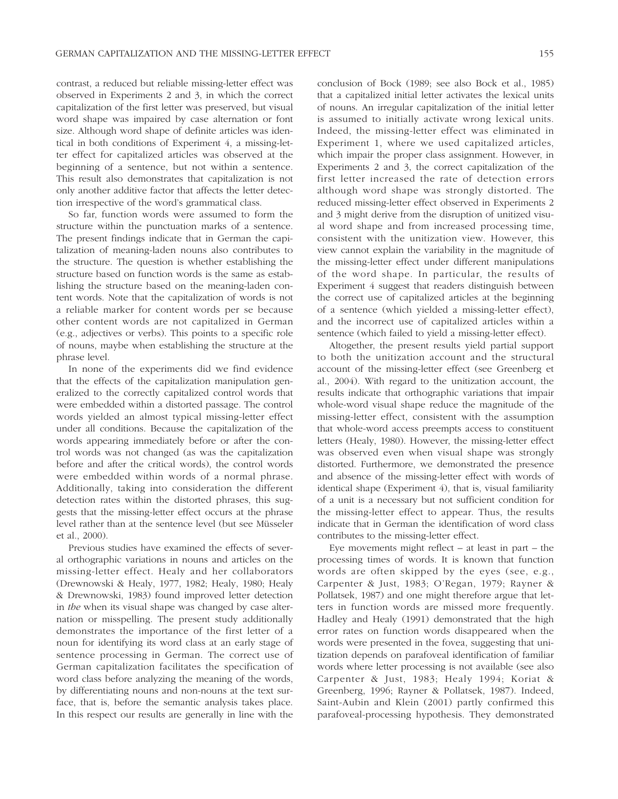contrast, a reduced but reliable missing-letter effect was observed in Experiments 2 and 3, in which the correct capitalization of the first letter was preserved, but visual word shape was impaired by case alternation or font size. Although word shape of definite articles was identical in both conditions of Experiment 4, a missing-letter effect for capitalized articles was observed at the beginning of a sentence, but not within a sentence. This result also demonstrates that capitalization is not only another additive factor that affects the letter detection irrespective of the word's grammatical class.

So far, function words were assumed to form the structure within the punctuation marks of a sentence. The present findings indicate that in German the capitalization of meaning-laden nouns also contributes to the structure. The question is whether establishing the structure based on function words is the same as establishing the structure based on the meaning-laden content words. Note that the capitalization of words is not a reliable marker for content words per se because other content words are not capitalized in German (e.g., adjectives or verbs). This points to a specific role of nouns, maybe when establishing the structure at the phrase level.

In none of the experiments did we find evidence that the effects of the capitalization manipulation generalized to the correctly capitalized control words that were embedded within a distorted passage. The control words yielded an almost typical missing-letter effect under all conditions. Because the capitalization of the words appearing immediately before or after the control words was not changed (as was the capitalization before and after the critical words), the control words were embedded within words of a normal phrase. Additionally, taking into consideration the different detection rates within the distorted phrases, this suggests that the missing-letter effect occurs at the phrase level rather than at the sentence level (but see Müsseler et al., 2000).

Previous studies have examined the effects of several orthographic variations in nouns and articles on the missing-letter effect. Healy and her collaborators (Drewnowski & Healy, 1977, 1982; Healy, 1980; Healy & Drewnowski, 1983) found improved letter detection in *the* when its visual shape was changed by case alternation or misspelling. The present study additionally demonstrates the importance of the first letter of a noun for identifying its word class at an early stage of sentence processing in German. The correct use of German capitalization facilitates the specification of word class before analyzing the meaning of the words, by differentiating nouns and non-nouns at the text surface, that is, before the semantic analysis takes place. In this respect our results are generally in line with the conclusion of Bock (1989; see also Bock et al., 1985) that a capitalized initial letter activates the lexical units of nouns. An irregular capitalization of the initial letter is assumed to initially activate wrong lexical units. Indeed, the missing-letter effect was eliminated in Experiment 1, where we used capitalized articles, which impair the proper class assignment. However, in Experiments 2 and 3, the correct capitalization of the first letter increased the rate of detection errors although word shape was strongly distorted. The reduced missing-letter effect observed in Experiments 2 and 3 might derive from the disruption of unitized visual word shape and from increased processing time, consistent with the unitization view. However, this view cannot explain the variability in the magnitude of the missing-letter effect under different manipulations of the word shape. In particular, the results of Experiment 4 suggest that readers distinguish between the correct use of capitalized articles at the beginning of a sentence (which yielded a missing-letter effect), and the incorrect use of capitalized articles within a sentence (which failed to yield a missing-letter effect).

Altogether, the present results yield partial support to both the unitization account and the structural account of the missing-letter effect (see Greenberg et al., 2004). With regard to the unitization account, the results indicate that orthographic variations that impair whole-word visual shape reduce the magnitude of the missing-letter effect, consistent with the assumption that whole-word access preempts access to constituent letters (Healy, 1980). However, the missing-letter effect was observed even when visual shape was strongly distorted. Furthermore, we demonstrated the presence and absence of the missing-letter effect with words of identical shape (Experiment 4), that is, visual familiarity of a unit is a necessary but not sufficient condition for the missing-letter effect to appear. Thus, the results indicate that in German the identification of word class contributes to the missing-letter effect.

Eye movements might reflect  $-$  at least in part  $-$  the processing times of words. It is known that function words are often skipped by the eyes (see, e.g., Carpenter & Just, 1983; O'Regan, 1979; Rayner & Pollatsek, 1987) and one might therefore argue that letters in function words are missed more frequently. Hadley and Healy (1991) demonstrated that the high error rates on function words disappeared when the words were presented in the fovea, suggesting that unitization depends on parafoveal identification of familiar words where letter processing is not available (see also Carpenter & Just, 1983; Healy 1994; Koriat & Greenberg, 1996; Rayner & Pollatsek, 1987). Indeed, Saint-Aubin and Klein (2001) partly confirmed this parafoveal-processing hypothesis. They demonstrated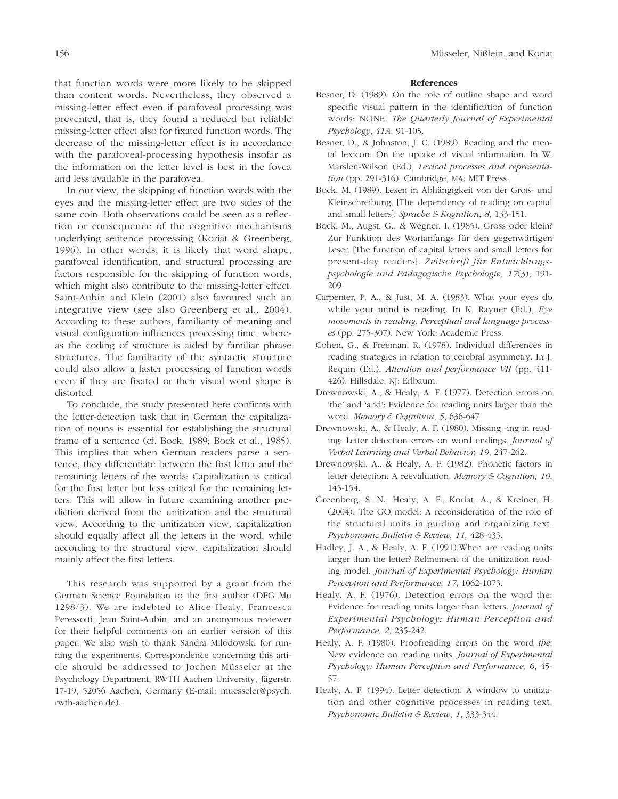that function words were more likely to be skipped than content words. Nevertheless, they observed a missing-letter effect even if parafoveal processing was prevented, that is, they found a reduced but reliable missing-letter effect also for fixated function words. The decrease of the missing-letter effect is in accordance with the parafoveal-processing hypothesis insofar as the information on the letter level is best in the fovea and less available in the parafovea.

In our view, the skipping of function words with the eyes and the missing-letter effect are two sides of the same coin. Both observations could be seen as a reflection or consequence of the cognitive mechanisms underlying sentence processing (Koriat & Greenberg, 1996). In other words, it is likely that word shape, parafoveal identification, and structural processing are factors responsible for the skipping of function words, which might also contribute to the missing-letter effect. Saint-Aubin and Klein (2001) also favoured such an integrative view (see also Greenberg et al., 2004). According to these authors, familiarity of meaning and visual configuration influences processing time, whereas the coding of structure is aided by familiar phrase structures. The familiarity of the syntactic structure could also allow a faster processing of function words even if they are fixated or their visual word shape is distorted.

To conclude, the study presented here confirms with the letter-detection task that in German the capitalization of nouns is essential for establishing the structural frame of a sentence (cf. Bock, 1989; Bock et al., 1985). This implies that when German readers parse a sentence, they differentiate between the first letter and the remaining letters of the words: Capitalization is critical for the first letter but less critical for the remaining letters. This will allow in future examining another prediction derived from the unitization and the structural view. According to the unitization view, capitalization should equally affect all the letters in the word, while according to the structural view, capitalization should mainly affect the first letters.

This research was supported by a grant from the German Science Foundation to the first author (DFG Mu 1298/3). We are indebted to Alice Healy, Francesca Peressotti, Jean Saint-Aubin, and an anonymous reviewer for their helpful comments on an earlier version of this paper. We also wish to thank Sandra Milodowski for running the experiments. Correspondence concerning this article should be addressed to Jochen Müsseler at the Psychology Department, RWTH Aachen University, Jägerstr. 17-19, 52056 Aachen, Germany (E-mail: muesseler@psych. rwth-aachen.de).

# **References**

- Besner, D. (1989). On the role of outline shape and word specific visual pattern in the identification of function words: NONE. *The Quarterly Journal of Experimental Psychology*, *41A*, 91-105.
- Besner, D., & Johnston, J. C. (1989). Reading and the mental lexicon: On the uptake of visual information. In W. Marslen-Wilson (Ed.), *Lexical processes and representation* (pp. 291-316). Cambridge, MA: MIT Press.
- Bock, M. (1989). Lesen in Abhängigkeit von der Groß- und Kleinschreibung. [The dependency of reading on capital and small letters]. *Sprache & Kognition*, *8*, 133-151.
- Bock, M., Augst, G., & Wegner, I. (1985). Gross oder klein? Zur Funktion des Wortanfangs für den gegenwärtigen Leser. [The function of capital letters and small letters for present-day readers]. *Zeitschrift für Entwicklungspsychologie und Pädagogische Psychologie, 17*(3), 191- 209.
- Carpenter, P. A., & Just, M. A. (1983). What your eyes do while your mind is reading. In K. Rayner (Ed.), *Eye movements in reading: Perceptual and language processes* (pp. 275-307). New York: Academic Press.
- Cohen, G., & Freeman, R. (1978). Individual differences in reading strategies in relation to cerebral asymmetry. In J. Requin (Ed.), *Attention and performance VII* (pp. 411- 426). Hillsdale, NJ: Erlbaum.
- Drewnowski, A., & Healy, A. F. (1977). Detection errors on 'the' and 'and': Evidence for reading units larger than the word. *Memory & Cognition*, *5*, 636-647.
- Drewnowski, A., & Healy, A. F. (1980). Missing -ing in reading: Letter detection errors on word endings. *Journal of Verbal Learning and Verbal Behavior, 19*, 247-262.
- Drewnowski, A., & Healy, A. F. (1982). Phonetic factors in letter detection: A reevaluation. *Memory & Cognition, 10*, 145-154.
- Greenberg, S. N., Healy, A. F., Koriat, A., & Kreiner, H. (2004). The GO model: A reconsideration of the role of the structural units in guiding and organizing text. *Psychonomic Bulletin & Review, 11,* 428-433.
- Hadley, J. A., & Healy, A. F. (1991).When are reading units larger than the letter? Refinement of the unitization reading model. *Journal of Experimental Psychology: Human Perception and Performance*, *17*, 1062-1073.
- Healy, A. F. (1976). Detection errors on the word the: Evidence for reading units larger than letters. *Journal of Experimental Psychology: Human Perception and Performance, 2*, 235-242.
- Healy, A. F. (1980). Proofreading errors on the word *the*: New evidence on reading units. *Journal of Experimental Psychology: Human Perception and Performance, 6*, 45- 57.
- Healy, A. F. (1994). Letter detection: A window to unitization and other cognitive processes in reading text. *Psychonomic Bulletin & Review*, *1*, 333-344.